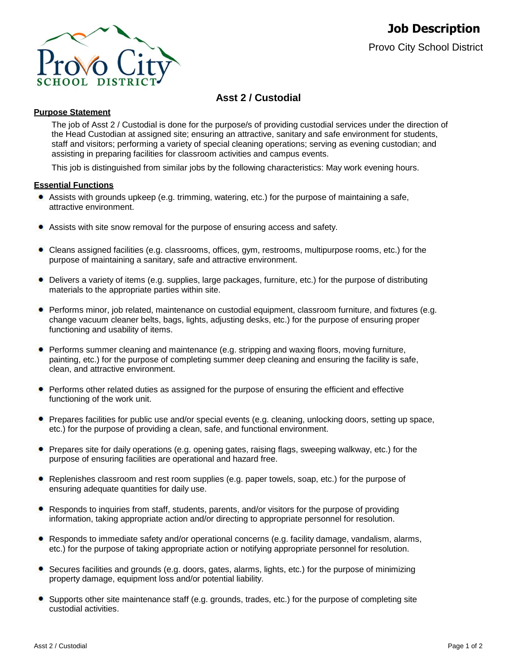

# **Asst 2 / Custodial**

## **Purpose Statement**

The job of Asst 2 / Custodial is done for the purpose/s of providing custodial services under the direction of the Head Custodian at assigned site; ensuring an attractive, sanitary and safe environment for students, staff and visitors; performing a variety of special cleaning operations; serving as evening custodian; and assisting in preparing facilities for classroom activities and campus events.

This job is distinguished from similar jobs by the following characteristics: May work evening hours.

## **Essential Functions**

- Assists with grounds upkeep (e.g. trimming, watering, etc.) for the purpose of maintaining a safe, attractive environment.
- Assists with site snow removal for the purpose of ensuring access and safety.
- Cleans assigned facilities (e.g. classrooms, offices, gym, restrooms, multipurpose rooms, etc.) for the purpose of maintaining a sanitary, safe and attractive environment.
- Delivers a variety of items (e.g. supplies, large packages, furniture, etc.) for the purpose of distributing materials to the appropriate parties within site.
- Performs minor, job related, maintenance on custodial equipment, classroom furniture, and fixtures (e.g. change vacuum cleaner belts, bags, lights, adjusting desks, etc.) for the purpose of ensuring proper functioning and usability of items.
- Performs summer cleaning and maintenance (e.g. stripping and waxing floors, moving furniture, painting, etc.) for the purpose of completing summer deep cleaning and ensuring the facility is safe, clean, and attractive environment.
- Performs other related duties as assigned for the purpose of ensuring the efficient and effective functioning of the work unit.
- Prepares facilities for public use and/or special events (e.g. cleaning, unlocking doors, setting up space, etc.) for the purpose of providing a clean, safe, and functional environment.
- Prepares site for daily operations (e.g. opening gates, raising flags, sweeping walkway, etc.) for the purpose of ensuring facilities are operational and hazard free.
- Replenishes classroom and rest room supplies (e.g. paper towels, soap, etc.) for the purpose of ensuring adequate quantities for daily use.
- Responds to inquiries from staff, students, parents, and/or visitors for the purpose of providing information, taking appropriate action and/or directing to appropriate personnel for resolution.
- Responds to immediate safety and/or operational concerns (e.g. facility damage, vandalism, alarms, etc.) for the purpose of taking appropriate action or notifying appropriate personnel for resolution.
- Secures facilities and grounds (e.g. doors, gates, alarms, lights, etc.) for the purpose of minimizing property damage, equipment loss and/or potential liability.
- Supports other site maintenance staff (e.g. grounds, trades, etc.) for the purpose of completing site custodial activities.